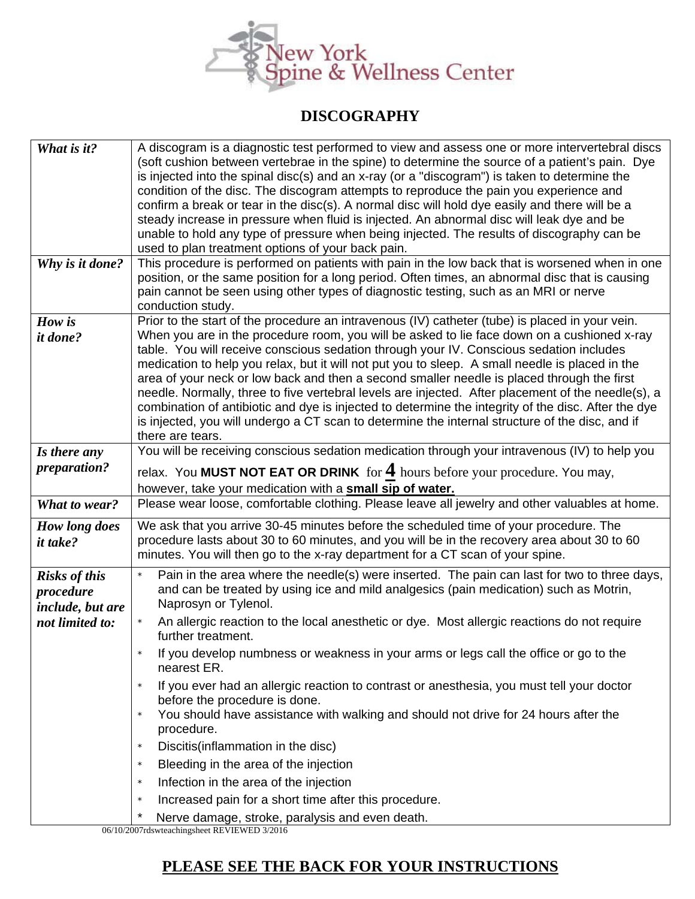

## **DISCOGRAPHY**

| What is it?                                                              | A discogram is a diagnostic test performed to view and assess one or more intervertebral discs<br>(soft cushion between vertebrae in the spine) to determine the source of a patient's pain. Dye<br>is injected into the spinal disc(s) and an x-ray (or a "discogram") is taken to determine the<br>condition of the disc. The discogram attempts to reproduce the pain you experience and<br>confirm a break or tear in the disc(s). A normal disc will hold dye easily and there will be a<br>steady increase in pressure when fluid is injected. An abnormal disc will leak dye and be                                                                                                                                                                                                                                     |
|--------------------------------------------------------------------------|--------------------------------------------------------------------------------------------------------------------------------------------------------------------------------------------------------------------------------------------------------------------------------------------------------------------------------------------------------------------------------------------------------------------------------------------------------------------------------------------------------------------------------------------------------------------------------------------------------------------------------------------------------------------------------------------------------------------------------------------------------------------------------------------------------------------------------|
|                                                                          | unable to hold any type of pressure when being injected. The results of discography can be<br>used to plan treatment options of your back pain.                                                                                                                                                                                                                                                                                                                                                                                                                                                                                                                                                                                                                                                                                |
| Why is it done?                                                          | This procedure is performed on patients with pain in the low back that is worsened when in one<br>position, or the same position for a long period. Often times, an abnormal disc that is causing<br>pain cannot be seen using other types of diagnostic testing, such as an MRI or nerve<br>conduction study.                                                                                                                                                                                                                                                                                                                                                                                                                                                                                                                 |
| How is<br><i>it done?</i>                                                | Prior to the start of the procedure an intravenous (IV) catheter (tube) is placed in your vein.<br>When you are in the procedure room, you will be asked to lie face down on a cushioned x-ray<br>table. You will receive conscious sedation through your IV. Conscious sedation includes<br>medication to help you relax, but it will not put you to sleep. A small needle is placed in the<br>area of your neck or low back and then a second smaller needle is placed through the first<br>needle. Normally, three to five vertebral levels are injected. After placement of the needle(s), a<br>combination of antibiotic and dye is injected to determine the integrity of the disc. After the dye<br>is injected, you will undergo a CT scan to determine the internal structure of the disc, and if<br>there are tears. |
| Is there any                                                             | You will be receiving conscious sedation medication through your intravenous (IV) to help you                                                                                                                                                                                                                                                                                                                                                                                                                                                                                                                                                                                                                                                                                                                                  |
| preparation?                                                             | relax. You MUST NOT EAT OR DRINK for $4$ hours before your procedure. You may,<br>however, take your medication with a small sip of water.                                                                                                                                                                                                                                                                                                                                                                                                                                                                                                                                                                                                                                                                                     |
| What to wear?                                                            | Please wear loose, comfortable clothing. Please leave all jewelry and other valuables at home.                                                                                                                                                                                                                                                                                                                                                                                                                                                                                                                                                                                                                                                                                                                                 |
| How long does<br><i>it take?</i>                                         | We ask that you arrive 30-45 minutes before the scheduled time of your procedure. The<br>procedure lasts about 30 to 60 minutes, and you will be in the recovery area about 30 to 60<br>minutes. You will then go to the x-ray department for a CT scan of your spine.                                                                                                                                                                                                                                                                                                                                                                                                                                                                                                                                                         |
| <b>Risks of this</b><br>procedure<br>include, but are<br>not limited to: | Pain in the area where the needle(s) were inserted. The pain can last for two to three days,<br>and can be treated by using ice and mild analgesics (pain medication) such as Motrin,<br>Naprosyn or Tylenol.<br>An allergic reaction to the local anesthetic or dye. Most allergic reactions do not require<br>further treatment.<br>If you develop numbness or weakness in your arms or legs call the office or go to the<br>nearest ER.<br>If you ever had an allergic reaction to contrast or anesthesia, you must tell your doctor<br>$\star$<br>before the procedure is done.<br>You should have assistance with walking and should not drive for 24 hours after the<br>$\star$<br>procedure.                                                                                                                            |
|                                                                          | Discitis(inflammation in the disc)<br>$\star$<br>Bleeding in the area of the injection<br>$\star$                                                                                                                                                                                                                                                                                                                                                                                                                                                                                                                                                                                                                                                                                                                              |
|                                                                          | Infection in the area of the injection<br>$\star$                                                                                                                                                                                                                                                                                                                                                                                                                                                                                                                                                                                                                                                                                                                                                                              |
|                                                                          | Increased pain for a short time after this procedure.<br>$\star$                                                                                                                                                                                                                                                                                                                                                                                                                                                                                                                                                                                                                                                                                                                                                               |
|                                                                          | $\star$<br>Nerve damage, stroke, paralysis and even death.                                                                                                                                                                                                                                                                                                                                                                                                                                                                                                                                                                                                                                                                                                                                                                     |

06/10/2007rdswteachingsheet REVIEWED 3/2016

## **PLEASE SEE THE BACK FOR YOUR INSTRUCTIONS**